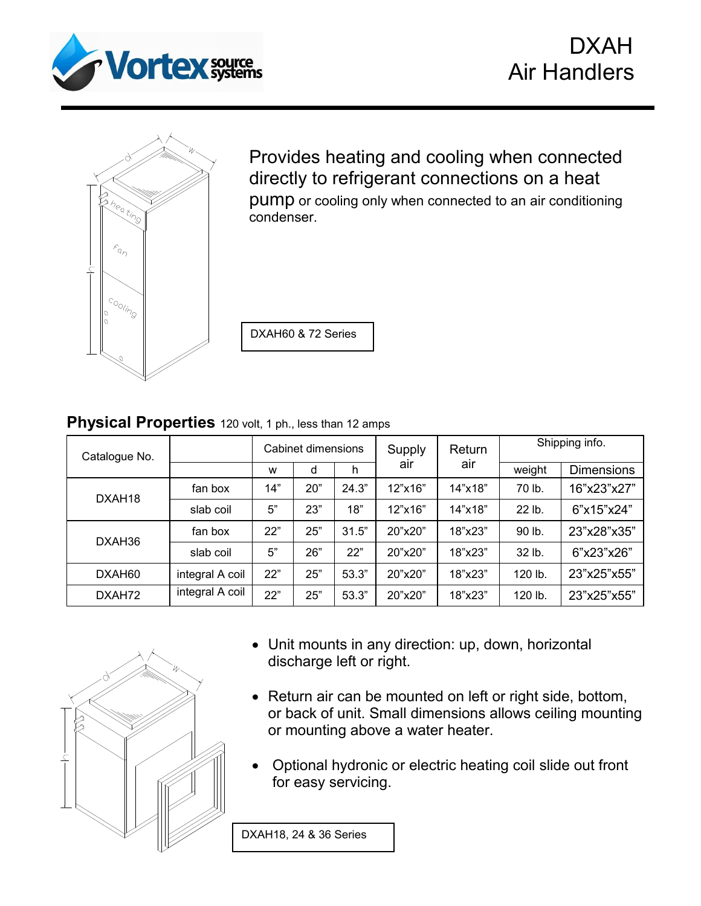



Ξ



Provides heating and cooling when connected directly to refrigerant connections on a heat pump or cooling only when connected to an air conditioning condenser.

DXAH60 & 72 Series

## **Physical Properties** 120 volt, 1 ph., less than 12 amps

|                 | Cabinet dimensions |     |       | Supply  | Return  | Shipping info. |                   |
|-----------------|--------------------|-----|-------|---------|---------|----------------|-------------------|
|                 | W                  | d   | h     |         |         | weight         | <b>Dimensions</b> |
| fan box         | 14"                | 20" | 24.3" | 12"x16" | 14"x18" | 70 lb.         | 16"x23"x27"       |
| slab coil       | 5"                 | 23" | 18"   | 12"x16" | 14"x18" | 22 lb.         | 6"x15"x24"        |
| fan box         | 22"                | 25" | 31.5" | 20"x20" | 18"x23" | 90 lb.         | 23"x28"x35"       |
| slab coil       | 5"                 | 26" | 22"   | 20"x20" | 18"x23" | 32 lb.         | 6"x23"x26"        |
| integral A coil | 22"                | 25" | 53.3" | 20"x20" | 18"x23" | 120 lb.        | 23"x25"x55"       |
| integral A coil | 22"                | 25" | 53.3" | 20"x20" | 18"x23" | 120 lb.        | 23"x25"x55"       |
|                 |                    |     |       |         | air     | air            |                   |



- Unit mounts in any direction: up, down, horizontal discharge left or right.
- Return air can be mounted on left or right side, bottom, or back of unit. Small dimensions allows ceiling mounting or mounting above a water heater.
- Optional hydronic or electric heating coil slide out front for easy servicing.

DXAH18, 24 & 36 Series